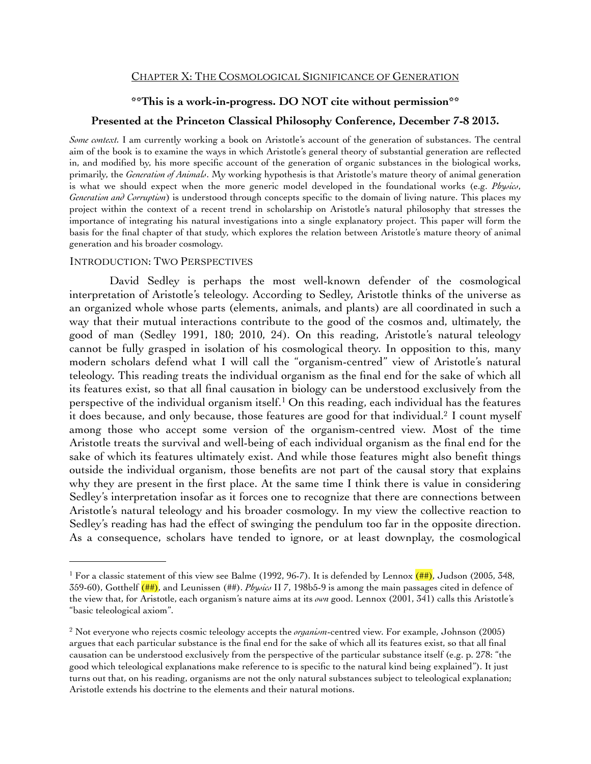# CHAPTER X: THE COSMOLOGICAL SIGNIFICANCE OF GENERATION

## **\*\*This is a work-in-progress. DO NOT cite without permission\*\***

### **Presented at the Princeton Classical Philosophy Conference, December 7-8 2013.**

*Some context.* I am currently working a book on Aristotle's account of the generation of substances. The central aim of the book is to examine the ways in which Aristotle's general theory of substantial generation are reflected in, and modified by, his more specific account of the generation of organic substances in the biological works, primarily, the *Generation of Animals*. My working hypothesis is that Aristotle's mature theory of animal generation is what we should expect when the more generic model developed in the foundational works (e.g. *Physics*, *Generation and Corruption*) is understood through concepts specific to the domain of living nature. This places my project within the context of a recent trend in scholarship on Aristotle's natural philosophy that stresses the importance of integrating his natural investigations into a single explanatory project. This paper will form the basis for the final chapter of that study, which explores the relation between Aristotle's mature theory of animal generation and his broader cosmology.

#### INTRODUCTION: TWO PERSPECTIVES

David Sedley is perhaps the most well-known defender of the cosmological interpretation of Aristotle's teleology. According to Sedley, Aristotle thinks of the universe as an organized whole whose parts (elements, animals, and plants) are all coordinated in such a way that their mutual interactions contribute to the good of the cosmos and, ultimately, the good of man (Sedley 1991, 180; 2010, 24). On this reading, Aristotle's natural teleology cannot be fully grasped in isolation of his cosmological theory. In opposition to this, many modern scholars defend what I will call the "organism-centred" view of Aristotle's natural teleology. This reading treats the individual organism as the final end for the sake of which all its features exist, so that all final causation in biology can be understood exclusively from the perspective of the individual organism itself.<sup>[1](#page-0-0)</sup> On this reading, each individual has the features it does because, and only because, those features are good for that individual.<sup>2</sup> I count myself among those who accept some version of the organism-centred view. Most of the time Aristotle treats the survival and well-being of each individual organism as the final end for the sake of which its features ultimately exist. And while those features might also benefit things outside the individual organism, those benefits are not part of the causal story that explains why they are present in the first place. At the same time I think there is value in considering Sedley's interpretation insofar as it forces one to recognize that there are connections between Aristotle's natural teleology and his broader cosmology. In my view the collective reaction to Sedley's reading has had the effect of swinging the pendulum too far in the opposite direction. As a consequence, scholars have tended to ignore, or at least downplay, the cosmological

<span id="page-0-0"></span><sup>&</sup>lt;sup>1</sup> For a classic statement of this view see Balme (1992, 96-7). It is defended by Lennox  $(\#H)$ , Judson (2005, 348, 359-60), Gotthelf (##), and Leunissen (##). *Physics* II 7, 198b5-9 is among the main passages cited in defence of the view that, for Aristotle, each organism's nature aims at its *own* good. Lennox (2001, 341) calls this Aristotle's "basic teleological axiom".

<span id="page-0-1"></span><sup>2</sup> Not everyone who rejects cosmic teleology accepts the *organism*-centred view. For example, Johnson (2005) argues that each particular substance is the final end for the sake of which all its features exist, so that all final causation can be understood exclusively from the perspective of the particular substance itself (e.g. p. 278: "the good which teleological explanations make reference to is specific to the natural kind being explained"). It just turns out that, on his reading, organisms are not the only natural substances subject to teleological explanation; Aristotle extends his doctrine to the elements and their natural motions.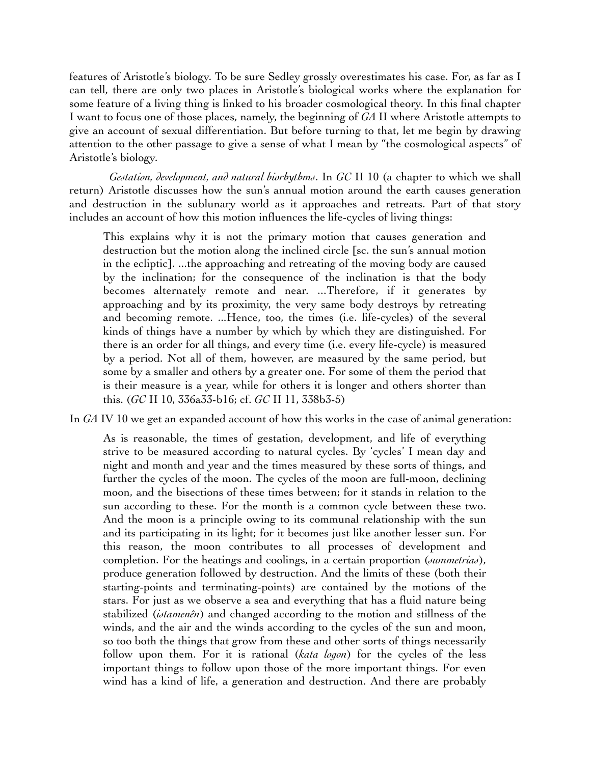features of Aristotle's biology. To be sure Sedley grossly overestimates his case. For, as far as I can tell, there are only two places in Aristotle's biological works where the explanation for some feature of a living thing is linked to his broader cosmological theory. In this final chapter I want to focus one of those places, namely, the beginning of *GA* II where Aristotle attempts to give an account of sexual differentiation. But before turning to that, let me begin by drawing attention to the other passage to give a sense of what I mean by "the cosmological aspects" of Aristotle's biology.

*Gestation, development, and natural biorhythms*. In *GC* II 10 (a chapter to which we shall return) Aristotle discusses how the sun's annual motion around the earth causes generation and destruction in the sublunary world as it approaches and retreats. Part of that story includes an account of how this motion influences the life-cycles of living things:

This explains why it is not the primary motion that causes generation and destruction but the motion along the inclined circle [sc. the sun's annual motion in the ecliptic]. ...the approaching and retreating of the moving body are caused by the inclination; for the consequence of the inclination is that the body becomes alternately remote and near. ...Therefore, if it generates by approaching and by its proximity, the very same body destroys by retreating and becoming remote. ...Hence, too, the times (i.e. life-cycles) of the several kinds of things have a number by which by which they are distinguished. For there is an order for all things, and every time (i.e. every life-cycle) is measured by a period. Not all of them, however, are measured by the same period, but some by a smaller and others by a greater one. For some of them the period that is their measure is a year, while for others it is longer and others shorter than this. (*GC* II 10, 336a33-b16; cf. *GC* II 11, 338b3-5)

In *GA* IV 10 we get an expanded account of how this works in the case of animal generation:

As is reasonable, the times of gestation, development, and life of everything strive to be measured according to natural cycles. By 'cycles' I mean day and night and month and year and the times measured by these sorts of things, and further the cycles of the moon. The cycles of the moon are full-moon, declining moon, and the bisections of these times between; for it stands in relation to the sun according to these. For the month is a common cycle between these two. And the moon is a principle owing to its communal relationship with the sun and its participating in its light; for it becomes just like another lesser sun. For this reason, the moon contributes to all processes of development and completion. For the heatings and coolings, in a certain proportion (*summetrias*), produce generation followed by destruction. And the limits of these (both their starting-points and terminating-points) are contained by the motions of the stars. For just as we observe a sea and everything that has a fluid nature being stabilized (*istamenên*) and changed according to the motion and stillness of the winds, and the air and the winds according to the cycles of the sun and moon, so too both the things that grow from these and other sorts of things necessarily follow upon them. For it is rational (*kata logon*) for the cycles of the less important things to follow upon those of the more important things. For even wind has a kind of life, a generation and destruction. And there are probably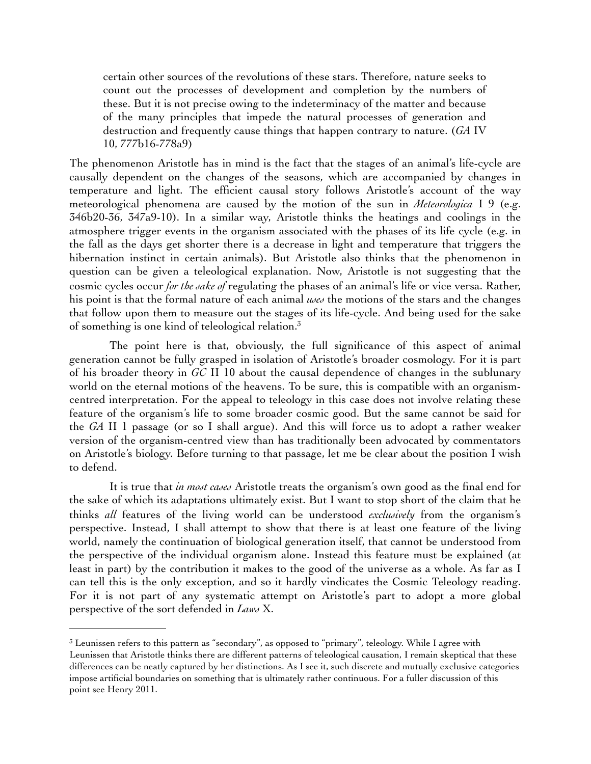certain other sources of the revolutions of these stars. Therefore, nature seeks to count out the processes of development and completion by the numbers of these. But it is not precise owing to the indeterminacy of the matter and because of the many principles that impede the natural processes of generation and destruction and frequently cause things that happen contrary to nature. (*GA* IV 10, 777b16-778a9)

The phenomenon Aristotle has in mind is the fact that the stages of an animal's life-cycle are causally dependent on the changes of the seasons, which are accompanied by changes in temperature and light. The efficient causal story follows Aristotle's account of the way meteorological phenomena are caused by the motion of the sun in *Meteorologica* I 9 (e.g. 346b20-36, 347a9-10). In a similar way, Aristotle thinks the heatings and coolings in the atmosphere trigger events in the organism associated with the phases of its life cycle (e.g. in the fall as the days get shorter there is a decrease in light and temperature that triggers the hibernation instinct in certain animals). But Aristotle also thinks that the phenomenon in question can be given a teleological explanation. Now, Aristotle is not suggesting that the cosmic cycles occur *for the sake of* regulating the phases of an animal's life or vice versa. Rather, his point is that the formal nature of each animal *uses* the motions of the stars and the changes that follow upon them to measure out the stages of its life-cycle. And being used for the sake of something is one kind of teleological relation[.3](#page-2-0)

The point here is that, obviously, the full significance of this aspect of animal generation cannot be fully grasped in isolation of Aristotle's broader cosmology. For it is part of his broader theory in *GC* II 10 about the causal dependence of changes in the sublunary world on the eternal motions of the heavens. To be sure, this is compatible with an organismcentred interpretation. For the appeal to teleology in this case does not involve relating these feature of the organism's life to some broader cosmic good. But the same cannot be said for the *GA* II 1 passage (or so I shall argue). And this will force us to adopt a rather weaker version of the organism-centred view than has traditionally been advocated by commentators on Aristotle's biology. Before turning to that passage, let me be clear about the position I wish to defend.

It is true that *in most cases* Aristotle treats the organism's own good as the final end for the sake of which its adaptations ultimately exist. But I want to stop short of the claim that he thinks *all* features of the living world can be understood *exclusively* from the organism's perspective. Instead, I shall attempt to show that there is at least one feature of the living world, namely the continuation of biological generation itself, that cannot be understood from the perspective of the individual organism alone. Instead this feature must be explained (at least in part) by the contribution it makes to the good of the universe as a whole. As far as I can tell this is the only exception, and so it hardly vindicates the Cosmic Teleology reading. For it is not part of any systematic attempt on Aristotle's part to adopt a more global perspective of the sort defended in *Laws* X.

<span id="page-2-0"></span> $3$  Leunissen refers to this pattern as "secondary", as opposed to "primary", teleology. While I agree with Leunissen that Aristotle thinks there are different patterns of teleological causation, I remain skeptical that these differences can be neatly captured by her distinctions. As I see it, such discrete and mutually exclusive categories impose artificial boundaries on something that is ultimately rather continuous. For a fuller discussion of this point see Henry 2011.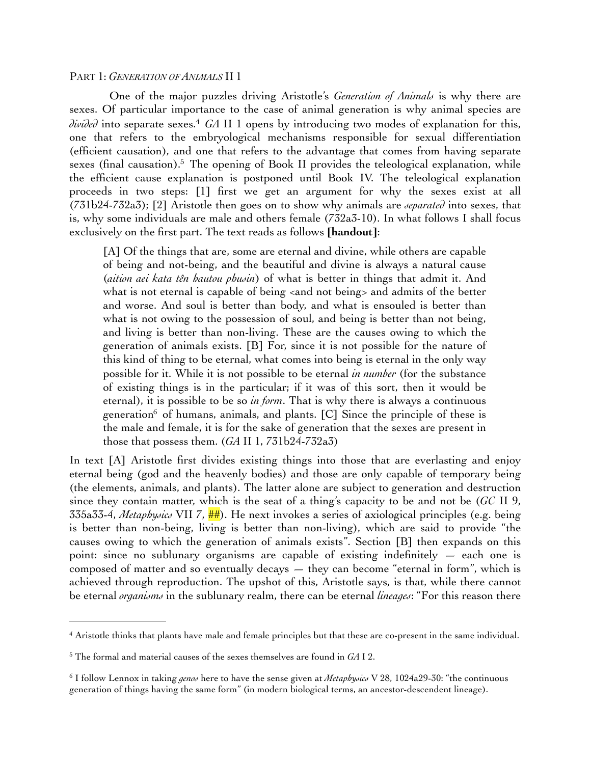### PART 1: *GENERATION OF ANIMALS* II 1

One of the major puzzles driving Aristotle's *Generation of Animals* is why there are sexes. Of particular importance to the case of animal generation is why animal species are *divided* into separate sexes[.4](#page-3-0) *GA* II 1 opens by introducing two modes of explanation for this, one that refers to the embryological mechanisms responsible for sexual differentiation (efficient causation), and one that refers to the advantage that comes from having separate sexes (final causation).<sup>5</sup> The opening of Book II provides the teleological explanation, while the efficient cause explanation is postponed until Book IV. The teleological explanation proceeds in two steps: [1] first we get an argument for why the sexes exist at all (731b24-732a3); [2] Aristotle then goes on to show why animals are *separated* into sexes, that is, why some individuals are male and others female (732a3-10). In what follows I shall focus exclusively on the first part. The text reads as follows **[handout]**:

[A] Of the things that are, some are eternal and divine, while others are capable of being and not-being, and the beautiful and divine is always a natural cause (*aition aei kata tên hautou phusin*) of what is better in things that admit it. And what is not eternal is capable of being <and not being> and admits of the better and worse. And soul is better than body, and what is ensouled is better than what is not owing to the possession of soul, and being is better than not being, and living is better than non-living. These are the causes owing to which the generation of animals exists. [B] For, since it is not possible for the nature of this kind of thing to be eternal, what comes into being is eternal in the only way possible for it. While it is not possible to be eternal *in number* (for the substance of existing things is in the particular; if it was of this sort, then it would be eternal), it is possible to be so *in form*. That is why there is always a continuous generation<sup>6</sup> of humans, animals, and plants. [C] Since the principle of these is the male and female, it is for the sake of generation that the sexes are present in those that possess them. (*GA* II 1, 731b24-732a3)

In text [A] Aristotle first divides existing things into those that are everlasting and enjoy eternal being (god and the heavenly bodies) and those are only capable of temporary being (the elements, animals, and plants). The latter alone are subject to generation and destruction since they contain matter, which is the seat of a thing's capacity to be and not be (*GC* II 9, 335a33-4, *Metaphysics* VII 7, ##). He next invokes a series of axiological principles (e.g. being is better than non-being, living is better than non-living), which are said to provide "the causes owing to which the generation of animals exists". Section [B] then expands on this point: since no sublunary organisms are capable of existing indefinitely  $-$  each one is composed of matter and so eventually decays  $-$  they can become "eternal in form", which is achieved through reproduction. The upshot of this, Aristotle says, is that, while there cannot be eternal *organisms* in the sublunary realm, there can be eternal *lineages*: "For this reason there

<span id="page-3-0"></span><sup>4</sup> Aristotle thinks that plants have male and female principles but that these are co-present in the same individual.

<span id="page-3-1"></span><sup>5</sup> The formal and material causes of the sexes themselves are found in *GA* I 2.

<span id="page-3-2"></span><sup>6</sup> I follow Lennox in taking *genos* here to have the sense given at *Metaphysics* V 28, 1024a29-30: "the continuous generation of things having the same form" (in modern biological terms, an ancestor-descendent lineage).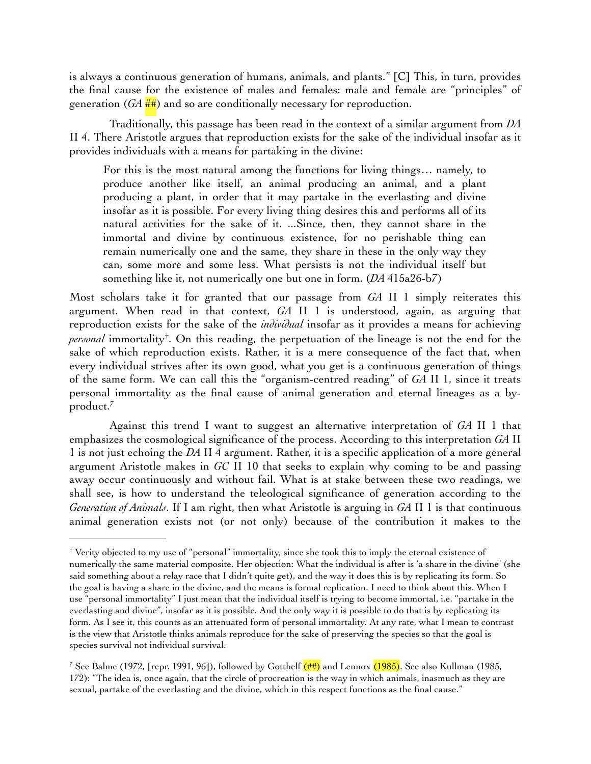is always a continuous generation of humans, animals, and plants." [C] This, in turn, provides the final cause for the existence of males and females: male and female are "principles" of generation (*GA* ##) and so are conditionally necessary for reproduction.

Traditionally, this passage has been read in the context of a similar argument from *DA*  II 4. There Aristotle argues that reproduction exists for the sake of the individual insofar as it provides individuals with a means for partaking in the divine:

For this is the most natural among the functions for living things… namely, to produce another like itself, an animal producing an animal, and a plant producing a plant, in order that it may partake in the everlasting and divine insofar as it is possible. For every living thing desires this and performs all of its natural activities for the sake of it. ...Since, then, they cannot share in the immortal and divine by continuous existence, for no perishable thing can remain numerically one and the same, they share in these in the only way they can, some more and some less. What persists is not the individual itself but something like it, not numerically one but one in form. (*DA* 415a26-b7)

Most scholars take it for granted that our passage from *GA* II 1 simply reiterates this argument. When read in that context, *GA* II 1 is understood, again, as arguing that reproduction exists for the sake of the *individual* insofar as it provides a means for achieving *personal* immortality[†.](#page-4-0) On this reading, the perpetuation of the lineage is not the end for the sake of which reproduction exists. Rather, it is a mere consequence of the fact that, when every individual strives after its own good, what you get is a continuous generation of things of the same form. We can call this the "organism-centred reading" of *GA* II 1, since it treats personal immortality as the final cause of animal generation and eternal lineages as a byproduct[.7](#page-4-1)

Against this trend I want to suggest an alternative interpretation of *GA* II 1 that emphasizes the cosmological significance of the process. According to this interpretation *GA* II 1 is not just echoing the *DA* II 4 argument. Rather, it is a specific application of a more general argument Aristotle makes in *GC* II 10 that seeks to explain why coming to be and passing away occur continuously and without fail. What is at stake between these two readings, we shall see, is how to understand the teleological significance of generation according to the *Generation of Animals*. If I am right, then what Aristotle is arguing in *GA* II 1 is that continuous animal generation exists not (or not only) because of the contribution it makes to the

<span id="page-4-0"></span><sup>†</sup> Verity objected to my use of "personal" immortality, since she took this to imply the eternal existence of numerically the same material composite. Her objection: What the individual is after is 'a share in the divine' (she said something about a relay race that I didn't quite get), and the way it does this is by replicating its form. So the goal is having a share in the divine, and the means is formal replication. I need to think about this. When I use "personal immortality" I just mean that the individual itself is trying to become immortal, i.e. "partake in the everlasting and divine", insofar as it is possible. And the only way it is possible to do that is by replicating its form. As I see it, this counts as an attenuated form of personal immortality. At any rate, what I mean to contrast is the view that Aristotle thinks animals reproduce for the sake of preserving the species so that the goal is species survival not individual survival.

<span id="page-4-1"></span><sup>&</sup>lt;sup>7</sup> See Balme (1972, [repr. 1991, 96]), followed by Gotthelf ( $\#$ ) and Lennox (1985). See also Kullman (1985, 172): "The idea is, once again, that the circle of procreation is the way in which animals, inasmuch as they are sexual, partake of the everlasting and the divine, which in this respect functions as the final cause."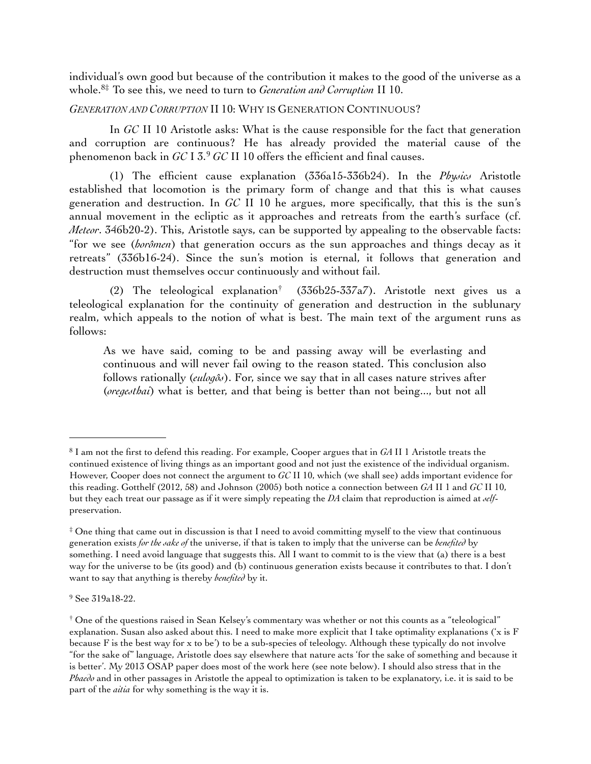individual's own good but because of the contribution it makes to the good of the universe as a whole.[8](#page-5-0)[‡](#page-5-1) To see this, we need to turn to *Generation and Corruption* II 10.

# *GENERATION AND CORRUPTION* II 10: WHY IS GENERATION CONTINUOUS?

In *GC* II 10 Aristotle asks: What is the cause responsible for the fact that generation and corruption are continuous? He has already provided the material cause of the phenomenon back in *GC* I 3.[9](#page-5-2) *GC* II 10 offers the efficient and final causes.

(1) The efficient cause explanation (336a15-336b24). In the *Physics* Aristotle established that locomotion is the primary form of change and that this is what causes generation and destruction. In *GC* II 10 he argues, more specifically, that this is the sun's annual movement in the ecliptic as it approaches and retreats from the earth's surface (cf. *Meteor*. 346b20-2). This, Aristotle says, can be supported by appealing to the observable facts: "for we see (*horômen*) that generation occurs as the sun approaches and things decay as it retreats" (336b16-24). Since the sun's motion is eternal, it follows that generation and destruction must themselves occur continuously and without fail.

(2) The teleological explanatio[n†](#page-5-3) (336b25-337a7). Aristotle next gives us a teleological explanation for the continuity of generation and destruction in the sublunary realm, which appeals to the notion of what is best. The main text of the argument runs as follows:

As we have said, coming to be and passing away will be everlasting and continuous and will never fail owing to the reason stated. This conclusion also follows rationally (*eulogôs*). For, since we say that in all cases nature strives after (*oregesthai*) what is better, and that being is better than not being..., but not all

<span id="page-5-2"></span>9 See 319a18-22.

<span id="page-5-0"></span><sup>8</sup> I am not the first to defend this reading. For example, Cooper argues that in *GA* II 1 Aristotle treats the continued existence of living things as an important good and not just the existence of the individual organism. However, Cooper does not connect the argument to *GC* II 10, which (we shall see) adds important evidence for this reading. Gotthelf (2012, 58) and Johnson (2005) both notice a connection between *GA* II 1 and *GC* II 10, but they each treat our passage as if it were simply repeating the *DA* claim that reproduction is aimed at *self*preservation.

<span id="page-5-1"></span><sup>‡</sup> One thing that came out in discussion is that I need to avoid committing myself to the view that continuous generation exists *for the sake of* the universe, if that is taken to imply that the universe can be *benefited* by something. I need avoid language that suggests this. All I want to commit to is the view that (a) there is a best way for the universe to be (its good) and (b) continuous generation exists because it contributes to that. I don't want to say that anything is thereby *benefited* by it.

<span id="page-5-3"></span><sup>†</sup> One of the questions raised in Sean Kelsey's commentary was whether or not this counts as a "teleological" explanation. Susan also asked about this. I need to make more explicit that I take optimality explanations ('x is F because F is the best way for x to be') to be a sub-species of teleology. Although these typically do not involve "for the sake of" language, Aristotle does say elsewhere that nature acts 'for the sake of something and because it is better'. My 2013 OSAP paper does most of the work here (see note below). I should also stress that in the *Phaedo* and in other passages in Aristotle the appeal to optimization is taken to be explanatory, i.e. it is said to be part of the *aitia* for why something is the way it is.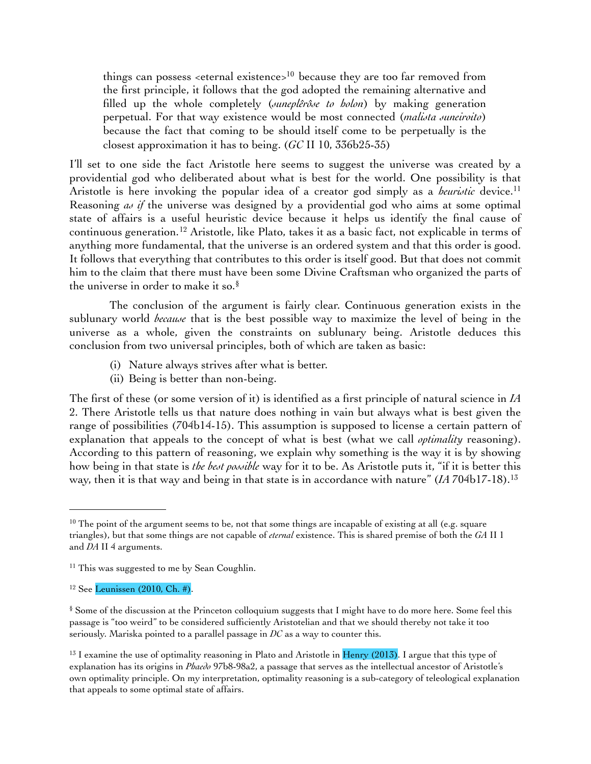things can possess <eternal existence[>10](#page-6-0) because they are too far removed from the first principle, it follows that the god adopted the remaining alternative and filled up the whole completely (*suneplêrôse to holon*) by making generation perpetual. For that way existence would be most connected (*malista suneiroito*) because the fact that coming to be should itself come to be perpetually is the closest approximation it has to being. (*GC* II 10, 336b25-35)

I'll set to one side the fact Aristotle here seems to suggest the universe was created by a providential god who deliberated about what is best for the world. One possibility is that Aristotle is here invoking the popular idea of a creator god simply as a *heuristic* device.[11](#page-6-1) Reasoning *as if* the universe was designed by a providential god who aims at some optimal state of affairs is a useful heuristic device because it helps us identify the final cause of continuous generation.[12](#page-6-2) Aristotle, like Plato, takes it as a basic fact, not explicable in terms of anything more fundamental, that the universe is an ordered system and that this order is good. It follows that everything that contributes to this order is itself good. But that does not commit him to the claim that there must have been some Divine Craftsman who organized the parts of the universe in order to make it so.[§](#page-6-3)

The conclusion of the argument is fairly clear. Continuous generation exists in the sublunary world *because* that is the best possible way to maximize the level of being in the universe as a whole, given the constraints on sublunary being. Aristotle deduces this conclusion from two universal principles, both of which are taken as basic:

- (i) Nature always strives after what is better.
- (ii) Being is better than non-being.

The first of these (or some version of it) is identified as a first principle of natural science in *IA* 2. There Aristotle tells us that nature does nothing in vain but always what is best given the range of possibilities (704b14-15). This assumption is supposed to license a certain pattern of explanation that appeals to the concept of what is best (what we call *optimality* reasoning). According to this pattern of reasoning, we explain why something is the way it is by showing how being in that state is *the best possible* way for it to be. As Aristotle puts it, "if it is better this way, then it is that way and being in that state is in accordance with nature" (*IA* 704b17-18).[13](#page-6-4)

<span id="page-6-0"></span> $10$  The point of the argument seems to be, not that some things are incapable of existing at all (e.g. square triangles), but that some things are not capable of *eternal* existence. This is shared premise of both the *GA* II 1 and *DA* II 4 arguments.

<span id="page-6-1"></span><sup>&</sup>lt;sup>11</sup> This was suggested to me by Sean Coughlin.

<span id="page-6-2"></span> $12$  See Leunissen (2010, Ch. #).

<span id="page-6-3"></span><sup>§</sup> Some of the discussion at the Princeton colloquium suggests that I might have to do more here. Some feel this passage is "too weird" to be considered sufficiently Aristotelian and that we should thereby not take it too seriously. Mariska pointed to a parallel passage in *DC* as a way to counter this.

<span id="page-6-4"></span> $^{13}$  I examine the use of optimality reasoning in Plato and Aristotle in Henry (2013). I argue that this type of explanation has its origins in *Phaedo* 97b8-98a2, a passage that serves as the intellectual ancestor of Aristotle's own optimality principle. On my interpretation, optimality reasoning is a sub-category of teleological explanation that appeals to some optimal state of affairs.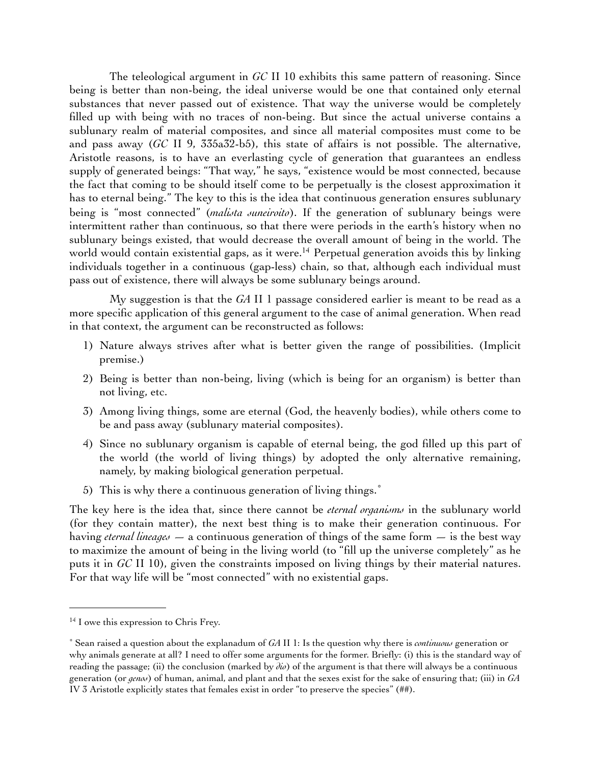The teleological argument in *GC* II 10 exhibits this same pattern of reasoning. Since being is better than non-being, the ideal universe would be one that contained only eternal substances that never passed out of existence. That way the universe would be completely filled up with being with no traces of non-being. But since the actual universe contains a sublunary realm of material composites, and since all material composites must come to be and pass away (*GC* II 9, 335a32-b5), this state of affairs is not possible. The alternative, Aristotle reasons, is to have an everlasting cycle of generation that guarantees an endless supply of generated beings: "That way," he says, "existence would be most connected, because the fact that coming to be should itself come to be perpetually is the closest approximation it has to eternal being." The key to this is the idea that continuous generation ensures sublunary being is "most connected" (*malista suneiroito*). If the generation of sublunary beings were intermittent rather than continuous, so that there were periods in the earth's history when no sublunary beings existed, that would decrease the overall amount of being in the world. The world would contain existential gaps, as it were.<sup>14</sup> Perpetual generation avoids this by linking individuals together in a continuous (gap-less) chain, so that, although each individual must pass out of existence, there will always be some sublunary beings around.

My suggestion is that the *GA* II 1 passage considered earlier is meant to be read as a more specific application of this general argument to the case of animal generation. When read in that context, the argument can be reconstructed as follows:

- 1) Nature always strives after what is better given the range of possibilities. (Implicit premise.)
- 2) Being is better than non-being, living (which is being for an organism) is better than not living, etc.
- 3) Among living things, some are eternal (God, the heavenly bodies), while others come to be and pass away (sublunary material composites).
- 4) Since no sublunary organism is capable of eternal being, the god filled up this part of the world (the world of living things) by adopted the only alternative remaining, namely, by making biological generation perpetual.
- 5) This is why there a continuous generation of living things.[\\*](#page-7-1)

The key here is the idea that, since there cannot be *eternal organisms* in the sublunary world (for they contain matter), the next best thing is to make their generation continuous. For having *eternal lineages* — a continuous generation of things of the same form — is the best way to maximize the amount of being in the living world (to "fill up the universe completely" as he puts it in *GC* II 10), given the constraints imposed on living things by their material natures. For that way life will be "most connected" with no existential gaps.

<span id="page-7-0"></span><sup>&</sup>lt;sup>14</sup> I owe this expression to Chris Frey.

<span id="page-7-1"></span><sup>\*</sup> Sean raised a question about the explanadum of *GA* II 1: Is the question why there is *continuous* generation or why animals generate at all? I need to offer some arguments for the former. Briefly: (i) this is the standard way of reading the passage; (ii) the conclusion (marked by *dio*) of the argument is that there will always be a continuous generation (or *genos*) of human, animal, and plant and that the sexes exist for the sake of ensuring that; (iii) in *GA* IV 3 Aristotle explicitly states that females exist in order "to preserve the species" (##).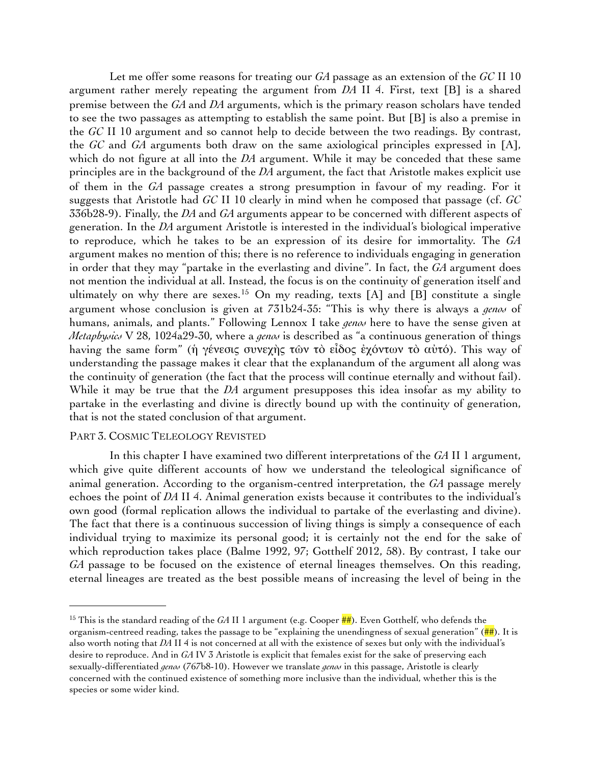Let me offer some reasons for treating our *GA* passage as an extension of the *GC* II 10 argument rather merely repeating the argument from *DA* II 4. First, text [B] is a shared premise between the *GA* and *DA* arguments, which is the primary reason scholars have tended to see the two passages as attempting to establish the same point. But [B] is also a premise in the *GC* II 10 argument and so cannot help to decide between the two readings. By contrast, the *GC* and *GA* arguments both draw on the same axiological principles expressed in [A], which do not figure at all into the *DA* argument. While it may be conceded that these same principles are in the background of the *DA* argument, the fact that Aristotle makes explicit use of them in the *GA* passage creates a strong presumption in favour of my reading. For it suggests that Aristotle had *GC* II 10 clearly in mind when he composed that passage (cf. *GC* 336b28-9). Finally, the *DA* and *GA* arguments appear to be concerned with different aspects of generation. In the *DA* argument Aristotle is interested in the individual's biological imperative to reproduce, which he takes to be an expression of its desire for immortality. The *GA*  argument makes no mention of this; there is no reference to individuals engaging in generation in order that they may "partake in the everlasting and divine". In fact, the *GA* argument does not mention the individual at all. Instead, the focus is on the continuity of generation itself and ultimately on why there are sexes.[15](#page-8-0) On my reading, texts [A] and [B] constitute a single argument whose conclusion is given at 731b24-35: "This is why there is always a *genos* of humans, animals, and plants." Following Lennox I take *genos* here to have the sense given at *Metaphysics* V 28, 1024a29-30, where a *genos* is described as "a continuous generation of things having the same form" (ἡ γένεσις συνεχὴς τῶν τὸ εἶδος ἐχόντων τὸ αὐτό). This way of understanding the passage makes it clear that the explanandum of the argument all along was the continuity of generation (the fact that the process will continue eternally and without fail). While it may be true that the *DA* argument presupposes this idea insofar as my ability to partake in the everlasting and divine is directly bound up with the continuity of generation, that is not the stated conclusion of that argument.

### PART 3. COSMIC TELEOLOGY REVISTED

In this chapter I have examined two different interpretations of the *GA* II 1 argument, which give quite different accounts of how we understand the teleological significance of animal generation. According to the organism-centred interpretation, the *GA* passage merely echoes the point of *DA* II 4. Animal generation exists because it contributes to the individual's own good (formal replication allows the individual to partake of the everlasting and divine). The fact that there is a continuous succession of living things is simply a consequence of each individual trying to maximize its personal good; it is certainly not the end for the sake of which reproduction takes place (Balme 1992, 97; Gotthelf 2012, 58). By contrast, I take our *GA* passage to be focused on the existence of eternal lineages themselves. On this reading, eternal lineages are treated as the best possible means of increasing the level of being in the

<span id="page-8-0"></span><sup>15</sup> This is the standard reading of the *GA* II 1 argument (e.g. Cooper ##). Even Gotthelf, who defends the organism-centreed reading, takes the passage to be "explaining the unendingness of sexual generation" ( $\frac{H}{H}$ ). It is also worth noting that *DA* II 4 is not concerned at all with the existence of sexes but only with the individual's desire to reproduce. And in *GA* IV 3 Aristotle is explicit that females exist for the sake of preserving each sexually-differentiated *genos* (767b8-10). However we translate *genos* in this passage, Aristotle is clearly concerned with the continued existence of something more inclusive than the individual, whether this is the species or some wider kind.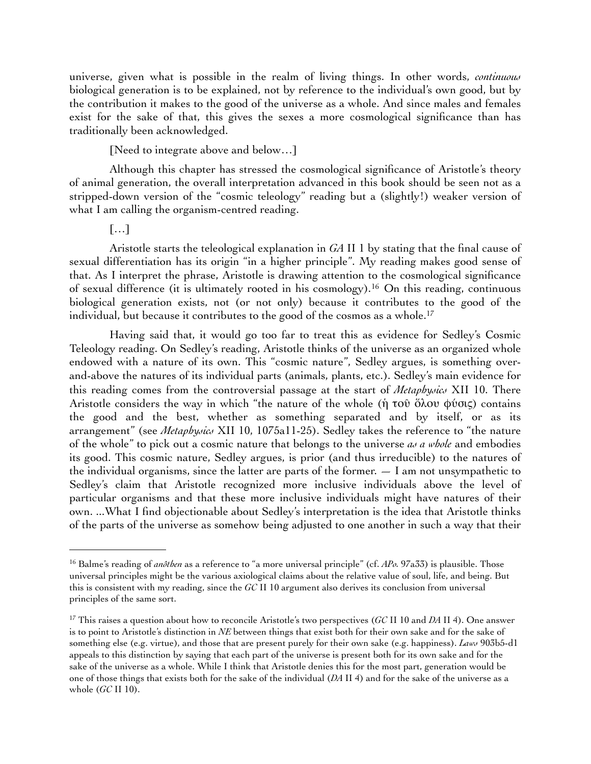universe, given what is possible in the realm of living things. In other words, *continuous* biological generation is to be explained, not by reference to the individual's own good, but by the contribution it makes to the good of the universe as a whole. And since males and females exist for the sake of that, this gives the sexes a more cosmological significance than has traditionally been acknowledged.

[Need to integrate above and below…]

Although this chapter has stressed the cosmological significance of Aristotle's theory of animal generation, the overall interpretation advanced in this book should be seen not as a stripped-down version of the "cosmic teleology" reading but a (slightly!) weaker version of what I am calling the organism-centred reading.

# $\lceil$ ...]

Aristotle starts the teleological explanation in *GA* II 1 by stating that the final cause of sexual differentiation has its origin "in a higher principle". My reading makes good sense of that. As I interpret the phrase, Aristotle is drawing attention to the cosmological significance of sexual difference (it is ultimately rooted in his cosmology).<sup>[16](#page-9-0)</sup> On this reading, continuous biological generation exists, not (or not only) because it contributes to the good of the individual, but because it contributes to the good of the cosmos as a whole.<sup>17</sup>

Having said that, it would go too far to treat this as evidence for Sedley's Cosmic Teleology reading. On Sedley's reading, Aristotle thinks of the universe as an organized whole endowed with a nature of its own. This "cosmic nature", Sedley argues, is something overand-above the natures of its individual parts (animals, plants, etc.). Sedley's main evidence for this reading comes from the controversial passage at the start of *Metaphysics* XII 10. There Aristotle considers the way in which "the nature of the whole (ή τοῦ ὅλου φύσις) contains the good and the best, whether as something separated and by itself, or as its arrangement" (see *Metaphysics* XII 10, 1075a11-25). Sedley takes the reference to "the nature of the whole" to pick out a cosmic nature that belongs to the universe *as a whole* and embodies its good. This cosmic nature, Sedley argues, is prior (and thus irreducible) to the natures of the individual organisms, since the latter are parts of the former.  $-1$  am not unsympathetic to Sedley's claim that Aristotle recognized more inclusive individuals above the level of particular organisms and that these more inclusive individuals might have natures of their own. ...What I find objectionable about Sedley's interpretation is the idea that Aristotle thinks of the parts of the universe as somehow being adjusted to one another in such a way that their

<span id="page-9-0"></span><sup>16</sup> Balme's reading of *anôthen* as a reference to "a more universal principle" (cf. *APo.* 97a33) is plausible. Those universal principles might be the various axiological claims about the relative value of soul, life, and being. But this is consistent with my reading, since the *GC* II 10 argument also derives its conclusion from universal principles of the same sort.

<span id="page-9-1"></span><sup>17</sup> This raises a question about how to reconcile Aristotle's two perspectives (*GC* II 10 and *DA* II 4). One answer is to point to Aristotle's distinction in *NE* between things that exist both for their own sake and for the sake of something else (e.g. virtue), and those that are present purely for their own sake (e.g. happiness). *Laws* 903b5-d1 appeals to this distinction by saying that each part of the universe is present both for its own sake and for the sake of the universe as a whole. While I think that Aristotle denies this for the most part, generation would be one of those things that exists both for the sake of the individual (*DA* II 4) and for the sake of the universe as a whole (*GC* II 10).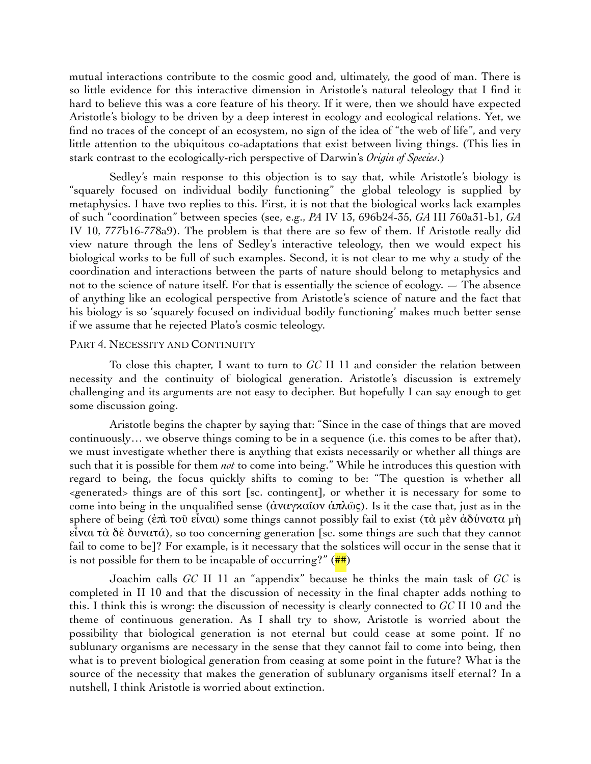mutual interactions contribute to the cosmic good and, ultimately, the good of man. There is so little evidence for this interactive dimension in Aristotle's natural teleology that I find it hard to believe this was a core feature of his theory. If it were, then we should have expected Aristotle's biology to be driven by a deep interest in ecology and ecological relations. Yet, we find no traces of the concept of an ecosystem, no sign of the idea of "the web of life", and very little attention to the ubiquitous co-adaptations that exist between living things. (This lies in stark contrast to the ecologically-rich perspective of Darwin's *Origin of Species*.)

Sedley's main response to this objection is to say that, while Aristotle's biology is "squarely focused on individual bodily functioning" the global teleology is supplied by metaphysics. I have two replies to this. First, it is not that the biological works lack examples of such "coordination" between species (see, e.g., *PA* IV 13, 696b24-35, *GA* III 760a31-b1, *GA*  IV 10, 777b16-778a9). The problem is that there are so few of them. If Aristotle really did view nature through the lens of Sedley's interactive teleology, then we would expect his biological works to be full of such examples. Second, it is not clear to me why a study of the coordination and interactions between the parts of nature should belong to metaphysics and not to the science of nature itself. For that is essentially the science of ecology.  $-$  The absence of anything like an ecological perspective from Aristotle's science of nature and the fact that his biology is so 'squarely focused on individual bodily functioning' makes much better sense if we assume that he rejected Plato's cosmic teleology.

### PART 4. NECESSITY AND CONTINUITY

To close this chapter, I want to turn to *GC* II 11 and consider the relation between necessity and the continuity of biological generation. Aristotle's discussion is extremely challenging and its arguments are not easy to decipher. But hopefully I can say enough to get some discussion going.

Aristotle begins the chapter by saying that: "Since in the case of things that are moved continuously… we observe things coming to be in a sequence (i.e. this comes to be after that), we must investigate whether there is anything that exists necessarily or whether all things are such that it is possible for them *not* to come into being." While he introduces this question with regard to being, the focus quickly shifts to coming to be: "The question is whether all <generated> things are of this sort [sc. contingent], or whether it is necessary for some to come into being in the unqualified sense (ἀναγκαῖον ἁπλῶς). Is it the case that, just as in the sphere of being (ἐπὶ τοῦ εἶναι) some things cannot possibly fail to exist (τὰ µὲν ἀδύνατα µὴ εἶναι τὰ δὲ δυνατά), so too concerning generation [sc. some things are such that they cannot fail to come to be]? For example, is it necessary that the solstices will occur in the sense that it is not possible for them to be incapable of occurring?"  $(\frac{\# \#}{\#})$ 

Joachim calls *GC* II 11 an "appendix" because he thinks the main task of *GC* is completed in II 10 and that the discussion of necessity in the final chapter adds nothing to this. I think this is wrong: the discussion of necessity is clearly connected to *GC* II 10 and the theme of continuous generation. As I shall try to show, Aristotle is worried about the possibility that biological generation is not eternal but could cease at some point. If no sublunary organisms are necessary in the sense that they cannot fail to come into being, then what is to prevent biological generation from ceasing at some point in the future? What is the source of the necessity that makes the generation of sublunary organisms itself eternal? In a nutshell, I think Aristotle is worried about extinction.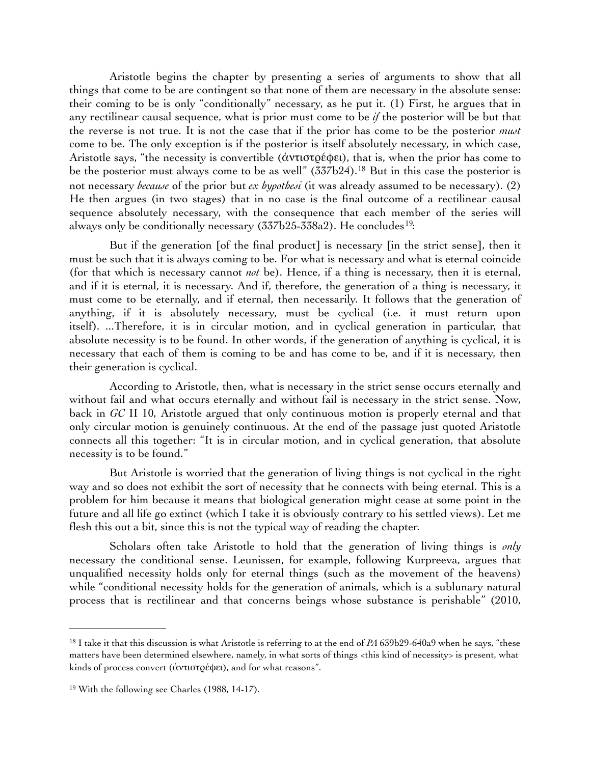Aristotle begins the chapter by presenting a series of arguments to show that all things that come to be are contingent so that none of them are necessary in the absolute sense: their coming to be is only "conditionally" necessary, as he put it. (1) First, he argues that in any rectilinear causal sequence, what is prior must come to be *if* the posterior will be but that the reverse is not true. It is not the case that if the prior has come to be the posterior *must* come to be. The only exception is if the posterior is itself absolutely necessary, in which case, Aristotle says, "the necessity is convertible (ἀντιστρέφει), that is, when the prior has come to be the posterior must always come to be as well"  $(337b24)$ .<sup>[18](#page-11-0)</sup> But in this case the posterior is not necessary *because* of the prior but *ex hypothesi* (it was already assumed to be necessary). (2) He then argues (in two stages) that in no case is the final outcome of a rectilinear causal sequence absolutely necessary, with the consequence that each member of the series will always only be conditionally necessary  $(337b25-338a2)$ . He concludes<sup>[19](#page-11-1)</sup>:

But if the generation [of the final product] is necessary [in the strict sense], then it must be such that it is always coming to be. For what is necessary and what is eternal coincide (for that which is necessary cannot *not* be). Hence, if a thing is necessary, then it is eternal, and if it is eternal, it is necessary. And if, therefore, the generation of a thing is necessary, it must come to be eternally, and if eternal, then necessarily. It follows that the generation of anything, if it is absolutely necessary, must be cyclical (i.e. it must return upon itself). ...Therefore, it is in circular motion, and in cyclical generation in particular, that absolute necessity is to be found. In other words, if the generation of anything is cyclical, it is necessary that each of them is coming to be and has come to be, and if it is necessary, then their generation is cyclical.

According to Aristotle, then, what is necessary in the strict sense occurs eternally and without fail and what occurs eternally and without fail is necessary in the strict sense. Now, back in *GC* II 10, Aristotle argued that only continuous motion is properly eternal and that only circular motion is genuinely continuous. At the end of the passage just quoted Aristotle connects all this together: "It is in circular motion, and in cyclical generation, that absolute necessity is to be found."

But Aristotle is worried that the generation of living things is not cyclical in the right way and so does not exhibit the sort of necessity that he connects with being eternal. This is a problem for him because it means that biological generation might cease at some point in the future and all life go extinct (which I take it is obviously contrary to his settled views). Let me flesh this out a bit, since this is not the typical way of reading the chapter.

Scholars often take Aristotle to hold that the generation of living things is *only* necessary the conditional sense. Leunissen, for example, following Kurpreeva, argues that unqualified necessity holds only for eternal things (such as the movement of the heavens) while "conditional necessity holds for the generation of animals, which is a sublunary natural process that is rectilinear and that concerns beings whose substance is perishable" (2010,

<span id="page-11-0"></span><sup>18</sup> I take it that this discussion is what Aristotle is referring to at the end of *PA* 639b29-640a9 when he says, "these matters have been determined elsewhere, namely, in what sorts of things <this kind of necessity> is present, what kinds of process convert (ἀντιστρέφει), and for what reasons".

<span id="page-11-1"></span><sup>19</sup> With the following see Charles (1988, 14-17).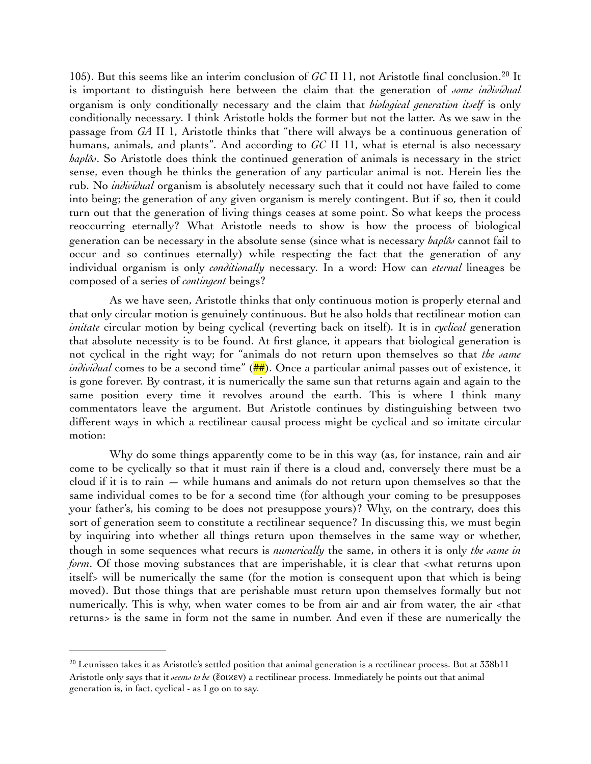105). But this seems like an interim conclusion of *GC* II 11, not Aristotle final conclusion.[20](#page-12-0) It is important to distinguish here between the claim that the generation of *some individual* organism is only conditionally necessary and the claim that *biological generation itself* is only conditionally necessary. I think Aristotle holds the former but not the latter. As we saw in the passage from *GA* II 1, Aristotle thinks that "there will always be a continuous generation of humans, animals, and plants". And according to *GC* II 11, what is eternal is also necessary *haplôs*. So Aristotle does think the continued generation of animals is necessary in the strict sense, even though he thinks the generation of any particular animal is not. Herein lies the rub. No *individual* organism is absolutely necessary such that it could not have failed to come into being; the generation of any given organism is merely contingent. But if so, then it could turn out that the generation of living things ceases at some point. So what keeps the process reoccurring eternally? What Aristotle needs to show is how the process of biological generation can be necessary in the absolute sense (since what is necessary *haplôs* cannot fail to occur and so continues eternally) while respecting the fact that the generation of any individual organism is only *conditionally* necessary. In a word: How can *eternal* lineages be composed of a series of *contingent* beings?

As we have seen, Aristotle thinks that only continuous motion is properly eternal and that only circular motion is genuinely continuous. But he also holds that rectilinear motion can *imitate* circular motion by being cyclical (reverting back on itself)*.* It is in *cyclical* generation that absolute necessity is to be found. At first glance, it appears that biological generation is not cyclical in the right way; for "animals do not return upon themselves so that *the same individual* comes to be a second time" (##). Once a particular animal passes out of existence, it is gone forever. By contrast, it is numerically the same sun that returns again and again to the same position every time it revolves around the earth. This is where I think many commentators leave the argument. But Aristotle continues by distinguishing between two different ways in which a rectilinear causal process might be cyclical and so imitate circular motion:

Why do some things apparently come to be in this way (as, for instance, rain and air come to be cyclically so that it must rain if there is a cloud and, conversely there must be a cloud if it is to rain — while humans and animals do not return upon themselves so that the same individual comes to be for a second time (for although your coming to be presupposes your father's, his coming to be does not presuppose yours)? Why, on the contrary, does this sort of generation seem to constitute a rectilinear sequence? In discussing this, we must begin by inquiring into whether all things return upon themselves in the same way or whether, though in some sequences what recurs is *numerically* the same, in others it is only *the same in form*. Of those moving substances that are imperishable, it is clear that <what returns upon itself> will be numerically the same (for the motion is consequent upon that which is being moved). But those things that are perishable must return upon themselves formally but not numerically. This is why, when water comes to be from air and air from water, the air <that returns> is the same in form not the same in number. And even if these are numerically the

<span id="page-12-0"></span> $^{20}$  Leunissen takes it as Aristotle's settled position that animal generation is a rectilinear process. But at 338b11 Aristotle only says that it *seems to be* (ἔοικεν) a rectilinear process. Immediately he points out that animal generation is, in fact, cyclical - as I go on to say.